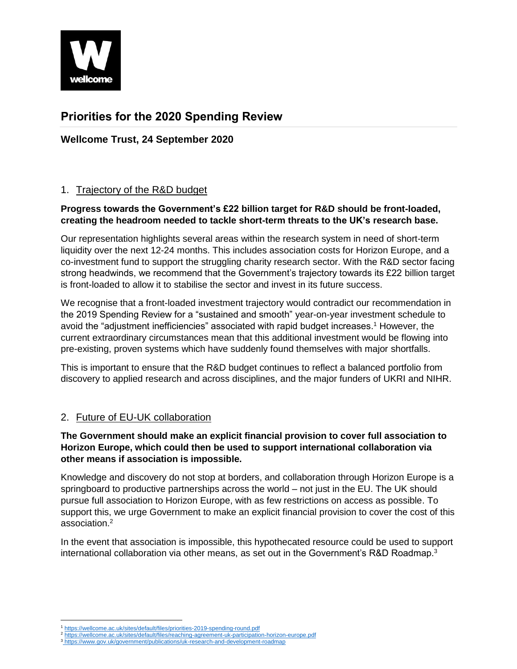

# **Priorities for the 2020 Spending Review**

**Wellcome Trust, 24 September 2020**

# 1. Trajectory of the R&D budget

# **Progress towards the Government's £22 billion target for R&D should be front-loaded, creating the headroom needed to tackle short-term threats to the UK's research base.**

Our representation highlights several areas within the research system in need of short-term liquidity over the next 12-24 months. This includes association costs for Horizon Europe, and a co-investment fund to support the struggling charity research sector. With the R&D sector facing strong headwinds, we recommend that the Government's trajectory towards its £22 billion target is front-loaded to allow it to stabilise the sector and invest in its future success.

We recognise that a front-loaded investment trajectory would contradict our recommendation in the 2019 Spending Review for a "sustained and smooth" year-on-year investment schedule to avoid the "adjustment inefficiencies" associated with rapid budget increases. <sup>1</sup> However, the current extraordinary circumstances mean that this additional investment would be flowing into pre-existing, proven systems which have suddenly found themselves with major shortfalls.

This is important to ensure that the R&D budget continues to reflect a balanced portfolio from discovery to applied research and across disciplines, and the major funders of UKRI and NIHR.

# 2. Future of EU-UK collaboration

## **The Government should make an explicit financial provision to cover full association to Horizon Europe, which could then be used to support international collaboration via other means if association is impossible.**

Knowledge and discovery do not stop at borders, and collaboration through Horizon Europe is a springboard to productive partnerships across the world – not just in the EU. The UK should pursue full association to Horizon Europe, with as few restrictions on access as possible. To support this, we urge Government to make an explicit financial provision to cover the cost of this association.<sup>2</sup>

In the event that association is impossible, this hypothecated resource could be used to support international collaboration via other means, as set out in the Government's R&D Roadmap. $3$ 

 $\overline{\phantom{a}}$ <https://wellcome.ac.uk/sites/default/files/priorities-2019-spending-round.pdf>

<sup>2</sup> <https://wellcome.ac.uk/sites/default/files/reaching-agreement-uk-participation-horizon-europe.pdf>

<sup>3</sup> <https://www.gov.uk/government/publications/uk-research-and-development-roadmap>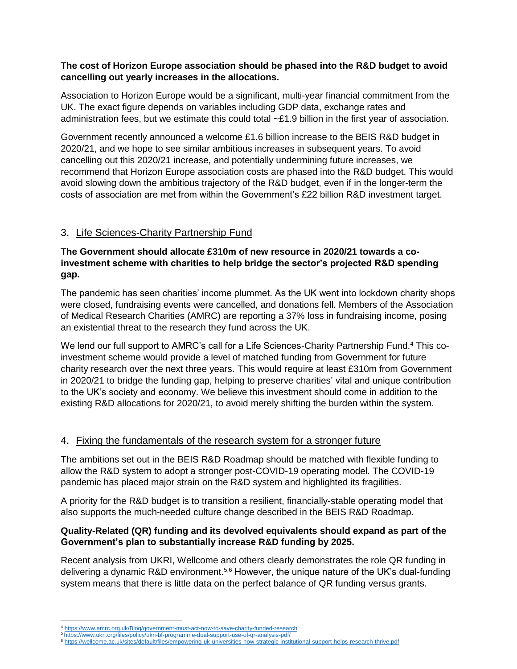#### **The cost of Horizon Europe association should be phased into the R&D budget to avoid cancelling out yearly increases in the allocations.**

Association to Horizon Europe would be a significant, multi-year financial commitment from the UK. The exact figure depends on variables including GDP data, exchange rates and administration fees, but we estimate this could total  $\sim$ £1.9 billion in the first year of association.

Government recently announced a welcome £1.6 billion increase to the BEIS R&D budget in 2020/21, and we hope to see similar ambitious increases in subsequent years. To avoid cancelling out this 2020/21 increase, and potentially undermining future increases, we recommend that Horizon Europe association costs are phased into the R&D budget. This would avoid slowing down the ambitious trajectory of the R&D budget, even if in the longer-term the costs of association are met from within the Government's £22 billion R&D investment target.

# 3. Life Sciences-Charity Partnership Fund

# **The Government should allocate £310m of new resource in 2020/21 towards a coinvestment scheme with charities to help bridge the sector's projected R&D spending gap.**

The pandemic has seen charities' income plummet. As the UK went into lockdown charity shops were closed, fundraising events were cancelled, and donations fell. Members of the Association of Medical Research Charities (AMRC) are reporting a 37% loss in fundraising income, posing an existential threat to the research they fund across the UK.

We lend our full support to AMRC's call for a Life Sciences-Charity Partnership Fund.<sup>4</sup> This coinvestment scheme would provide a level of matched funding from Government for future charity research over the next three years. This would require at least £310m from Government in 2020/21 to bridge the funding gap, helping to preserve charities' vital and unique contribution to the UK's society and economy. We believe this investment should come in addition to the existing R&D allocations for 2020/21, to avoid merely shifting the burden within the system.

# 4. Fixing the fundamentals of the research system for a stronger future

The ambitions set out in the BEIS R&D Roadmap should be matched with flexible funding to allow the R&D system to adopt a stronger post-COVID-19 operating model. The COVID-19 pandemic has placed major strain on the R&D system and highlighted its fragilities.

A priority for the R&D budget is to transition a resilient, financially-stable operating model that also supports the much-needed culture change described in the BEIS R&D Roadmap.

## **Quality-Related (QR) funding and its devolved equivalents should expand as part of the Government's plan to substantially increase R&D funding by 2025.**

Recent analysis from UKRI, Wellcome and others clearly demonstrates the role QR funding in delivering a dynamic R&D environment.<sup>5,6</sup> However, the unique nature of the UK's dual-funding system means that there is little data on the perfect balance of QR funding versus grants.

 $\overline{\phantom{a}}$ <https://www.amrc.org.uk/Blog/government-must-act-now-to-save-charity-funded-research>

<sup>5</sup> <https://www.ukri.org/files/policy/ukri-bf-programme-dual-support-use-of-qr-analysis-pdf/>

<sup>6</sup> <https://wellcome.ac.uk/sites/default/files/empowering-uk-universities-how-strategic-institutional-support-helps-research-thrive.pdf>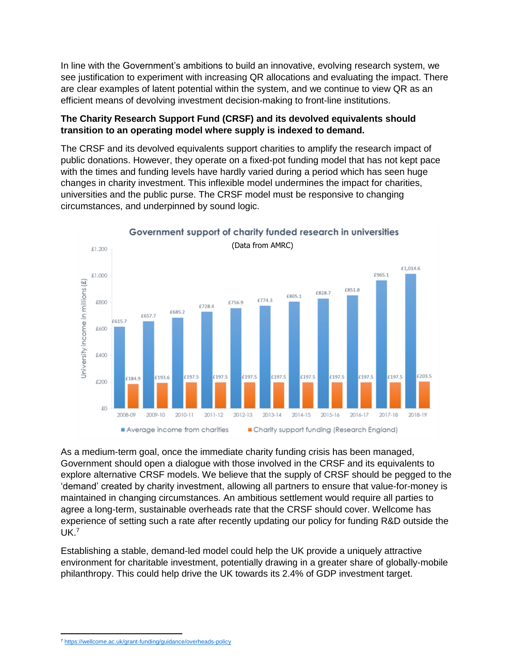In line with the Government's ambitions to build an innovative, evolving research system, we see justification to experiment with increasing QR allocations and evaluating the impact. There are clear examples of latent potential within the system, and we continue to view QR as an efficient means of devolving investment decision-making to front-line institutions.

## **The Charity Research Support Fund (CRSF) and its devolved equivalents should transition to an operating model where supply is indexed to demand.**

The CRSF and its devolved equivalents support charities to amplify the research impact of public donations. However, they operate on a fixed-pot funding model that has not kept pace with the times and funding levels have hardly varied during a period which has seen huge changes in charity investment. This inflexible model undermines the impact for charities, universities and the public purse. The CRSF model must be responsive to changing circumstances, and underpinned by sound logic.



As a medium-term goal, once the immediate charity funding crisis has been managed, Government should open a dialogue with those involved in the CRSF and its equivalents to explore alternative CRSF models. We believe that the supply of CRSF should be pegged to the 'demand' created by charity investment, allowing all partners to ensure that value-for-money is maintained in changing circumstances. An ambitious settlement would require all parties to agree a long-term, sustainable overheads rate that the CRSF should cover. Wellcome has experience of setting such a rate after recently updating our policy for funding R&D outside the UK.<sup>7</sup>

Establishing a stable, demand-led model could help the UK provide a uniquely attractive environment for charitable investment, potentially drawing in a greater share of globally-mobile philanthropy. This could help drive the UK towards its 2.4% of GDP investment target.

 $\overline{\phantom{a}}$ <sup>7</sup> <https://wellcome.ac.uk/grant-funding/guidance/overheads-policy>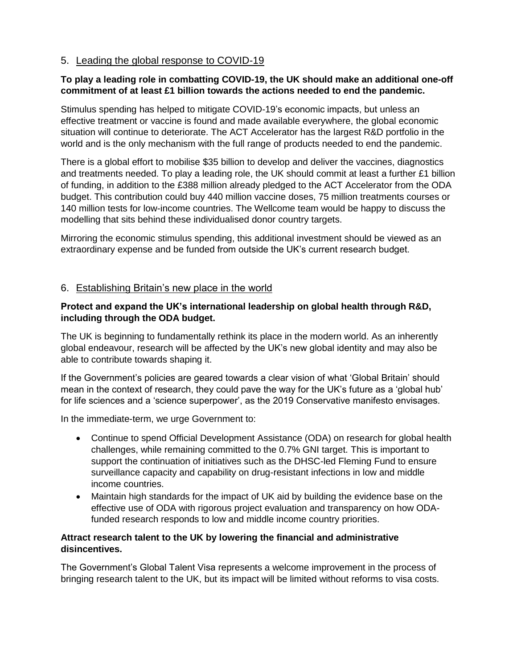## 5. Leading the global response to COVID-19

#### **To play a leading role in combatting COVID-19, the UK should make an additional one-off commitment of at least £1 billion towards the actions needed to end the pandemic.**

Stimulus spending has helped to mitigate COVID-19's economic impacts, but unless an effective treatment or vaccine is found and made available everywhere, the global economic situation will continue to deteriorate. The ACT Accelerator has the largest R&D portfolio in the world and is the only mechanism with the full range of products needed to end the pandemic.

There is a global effort to mobilise \$35 billion to develop and deliver the vaccines, diagnostics and treatments needed. To play a leading role, the UK should commit at least a further £1 billion of funding, in addition to the £388 million already pledged to the ACT Accelerator from the ODA budget. This contribution could buy 440 million vaccine doses, 75 million treatments courses or 140 million tests for low-income countries. The Wellcome team would be happy to discuss the modelling that sits behind these individualised donor country targets.

Mirroring the economic stimulus spending, this additional investment should be viewed as an extraordinary expense and be funded from outside the UK's current research budget.

## 6. Establishing Britain's new place in the world

#### **Protect and expand the UK's international leadership on global health through R&D, including through the ODA budget.**

The UK is beginning to fundamentally rethink its place in the modern world. As an inherently global endeavour, research will be affected by the UK's new global identity and may also be able to contribute towards shaping it.

If the Government's policies are geared towards a clear vision of what 'Global Britain' should mean in the context of research, they could pave the way for the UK's future as a 'global hub' for life sciences and a 'science superpower', as the 2019 Conservative manifesto envisages.

In the immediate-term, we urge Government to:

- Continue to spend Official Development Assistance (ODA) on research for global health challenges, while remaining committed to the 0.7% GNI target. This is important to support the continuation of initiatives such as the DHSC-led Fleming Fund to ensure surveillance capacity and capability on drug-resistant infections in low and middle income countries.
- Maintain high standards for the impact of UK aid by building the evidence base on the effective use of ODA with rigorous project evaluation and transparency on how ODAfunded research responds to low and middle income country priorities.

#### **Attract research talent to the UK by lowering the financial and administrative disincentives.**

The Government's Global Talent Visa represents a welcome improvement in the process of bringing research talent to the UK, but its impact will be limited without reforms to visa costs.